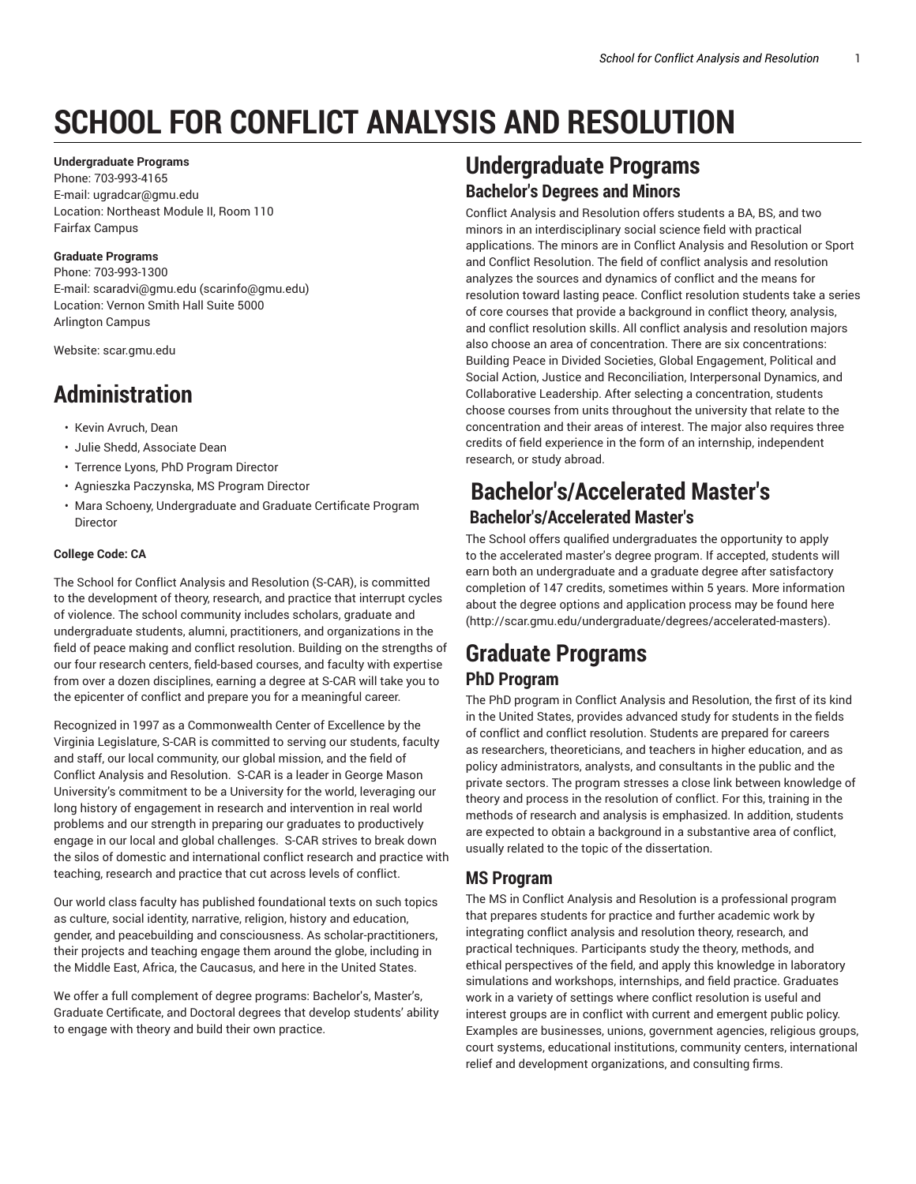# **SCHOOL FOR CONFLICT ANALYSIS AND RESOLUTION**

#### **Undergraduate Programs**

Phone: 703-993-4165 E-mail: ugradcar@gmu.edu Location: Northeast Module II, Room 110 Fairfax Campus

#### **Graduate Programs**

Phone: 703-993-1300 E-mail: scaradvi@gmu.edu (scarinfo@gmu.edu) Location: Vernon Smith Hall Suite 5000 Arlington Campus

Website: scar.gmu.edu

## **Administration**

- Kevin Avruch, Dean
- Julie Shedd, Associate Dean
- Terrence Lyons, PhD Program Director
- Agnieszka Paczynska, MS Program Director
- Mara Schoeny, Undergraduate and Graduate Certificate Program Director

#### **College Code: CA**

The School for Conflict Analysis and Resolution (S-CAR), is committed to the development of theory, research, and practice that interrupt cycles of violence. The school community includes scholars, graduate and undergraduate students, alumni, practitioners, and organizations in the field of peace making and conflict resolution. Building on the strengths of our four research centers, field-based courses, and faculty with expertise from over a dozen disciplines, earning a degree at S-CAR will take you to the epicenter of conflict and prepare you for a meaningful career.

Recognized in 1997 as a Commonwealth Center of Excellence by the Virginia Legislature, S-CAR is committed to serving our students, faculty and staff, our local community, our global mission, and the field of Conflict Analysis and Resolution. S-CAR is a leader in George Mason University's commitment to be a University for the world, leveraging our long history of engagement in research and intervention in real world problems and our strength in preparing our graduates to productively engage in our local and global challenges. S-CAR strives to break down the silos of domestic and international conflict research and practice with teaching, research and practice that cut across levels of conflict.

Our world class faculty has published foundational texts on such topics as culture, social identity, narrative, religion, history and education, gender, and peacebuilding and consciousness. As scholar-practitioners, their projects and teaching engage them around the globe, including in the Middle East, Africa, the Caucasus, and here in the United States.

We offer a full complement of degree programs: Bachelor's, Master's, Graduate Certificate, and Doctoral degrees that develop students' ability to engage with theory and build their own practice.

# **Undergraduate Programs**

#### **Bachelor's Degrees and Minors**

Conflict Analysis and Resolution offers students a BA, BS, and two minors in an interdisciplinary social science field with practical applications. The minors are in Conflict Analysis and Resolution or Sport and Conflict Resolution. The field of conflict analysis and resolution analyzes the sources and dynamics of conflict and the means for resolution toward lasting peace. Conflict resolution students take a series of core courses that provide a background in conflict theory, analysis, and conflict resolution skills. All conflict analysis and resolution majors also choose an area of concentration. There are six concentrations: Building Peace in Divided Societies, Global Engagement, Political and Social Action, Justice and Reconciliation, Interpersonal Dynamics, and Collaborative Leadership. After selecting a concentration, students choose courses from units throughout the university that relate to the concentration and their areas of interest. The major also requires three credits of field experience in the form of an internship, independent research, or study abroad.

## **Bachelor's/Accelerated Master's Bachelor's/Accelerated Master's**

The School offers qualified undergraduates the opportunity to apply to the accelerated master's degree program. If accepted, students will earn both an undergraduate and a graduate degree after satisfactory completion of 147 credits, sometimes within 5 years. More information about the degree options and application process may be found here (http://scar.gmu.edu/undergraduate/degrees/accelerated-masters).

## **Graduate Programs PhD Program**

The PhD program in Conflict Analysis and Resolution, the first of its kind in the United States, provides advanced study for students in the fields of conflict and conflict resolution. Students are prepared for careers as researchers, theoreticians, and teachers in higher education, and as policy administrators, analysts, and consultants in the public and the private sectors. The program stresses a close link between knowledge of theory and process in the resolution of conflict. For this, training in the methods of research and analysis is emphasized. In addition, students are expected to obtain a background in a substantive area of conflict, usually related to the topic of the dissertation.

#### **MS Program**

The MS in Conflict Analysis and Resolution is a professional program that prepares students for practice and further academic work by integrating conflict analysis and resolution theory, research, and practical techniques. Participants study the theory, methods, and ethical perspectives of the field, and apply this knowledge in laboratory simulations and workshops, internships, and field practice. Graduates work in a variety of settings where conflict resolution is useful and interest groups are in conflict with current and emergent public policy. Examples are businesses, unions, government agencies, religious groups, court systems, educational institutions, community centers, international relief and development organizations, and consulting firms.